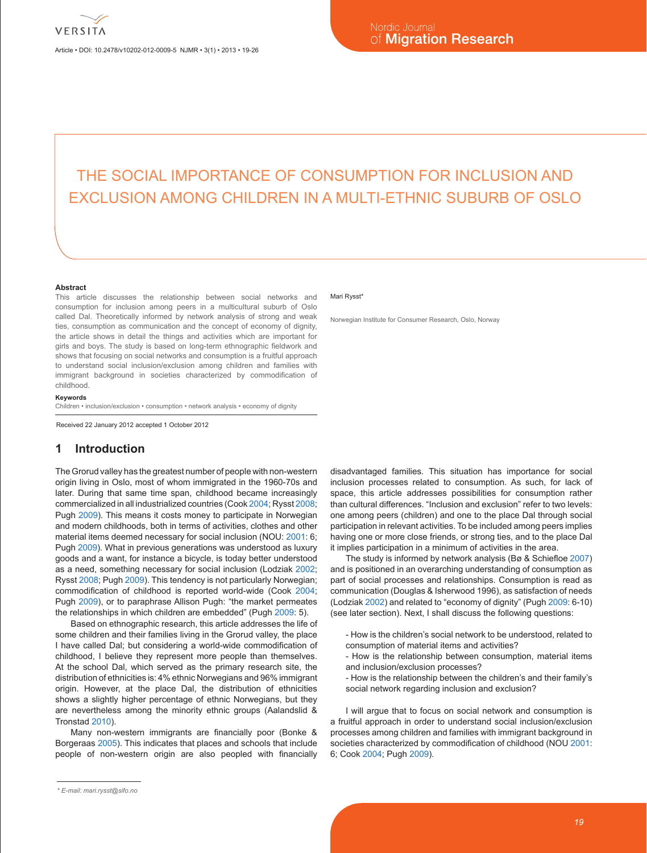Article • DOI: 10.2478/v10202-012-0009-5 NJMR • 3(1) • 2013 • 19-26

# THE SOCIAL IMPORTANCE OF CONSUMPTION FOR INCLUSION AND EXCLUSION AMONG CHILDREN IN A MULTI-ETHNIC SUBURB OF OSLO

#### **Abstract**

This article discusses the relationship between social networks and consumption for inclusion among peers in a multicultural suburb of Oslo called Dal. Theoretically informed by network analysis of strong and weak ties, consumption as communication and the concept of economy of dignity, the article shows in detail the things and activities which are important for girls and boys. The study is based on long-term ethnographic fieldwork and shows that focusing on social networks and consumption is a fruitful approach to understand social inclusion/exclusion among children and families with immigrant background in societies characterized by commodification of childhood.

#### **Keywords**

Children • inclusion/exclusion • consumption • network analysis • economy of dignity

Received 22 January 2012 accepted 1 October 2012

## **1 Introduction**

The Grorud valley has the greatest number of people with non-western origin living in Oslo, most of whom immigrated in the 1960-70s and later. During that same time span, childhood became increasingly commercialized in all industrialized countries (Cook 2004; Rysst 2008; Pugh 2009). This means it costs money to participate in Norwegian and modern childhoods, both in terms of activities, clothes and other material items deemed necessary for social inclusion (NOU: 2001: 6; Pugh 2009). What in previous generations was understood as luxury goods and a want, for instance a bicycle, is today better understood as a need, something necessary for social inclusion (Lodziak 2002; Rysst 2008; Pugh 2009). This tendency is not particularly Norwegian; commodification of childhood is reported world-wide (Cook 2004; Pugh 2009), or to paraphrase Allison Pugh: "the market permeates the relationships in which children are embedded" (Pugh 2009: 5).

Based on ethnographic research, this article addresses the life of some children and their families living in the Grorud valley, the place I have called Dal; but considering a world-wide commodification of childhood, I believe they represent more people than themselves. At the school Dal, which served as the primary research site, the distribution of ethnicities is: 4% ethnic Norwegians and 96% immigrant origin. However, at the place Dal, the distribution of ethnicities shows a slightly higher percentage of ethnic Norwegians, but they are nevertheless among the minority ethnic groups (Aalandslid & Tronstad 2010).

Many non-western immigrants are financially poor (Bonke & Borgeraas 2005). This indicates that places and schools that include people of non-western origin are also peopled with financially

#### Mari Rysst<sup>\*</sup>

Norwegian Institute for Consumer Research, Oslo, Norway

disadvantaged families. This situation has importance for social inclusion processes related to consumption. As such, for lack of space, this article addresses possibilities for consumption rather than cultural differences. "Inclusion and exclusion" refer to two levels: one among peers (children) and one to the place Dal through social participation in relevant activities. To be included among peers implies having one or more close friends, or strong ties, and to the place Dal it implies participation in a minimum of activities in the area.

The study is informed by network analysis (Bø & Schiefloe 2007) and is positioned in an overarching understanding of consumption as part of social processes and relationships. Consumption is read as communication (Douglas & Isherwood 1996), as satisfaction of needs (Lodziak 2002) and related to "economy of dignity" (Pugh 2009: 6-10) (see later section). Next, I shall discuss the following questions:

- How is the children's social network to be understood, related to consumption of material items and activities?
- How is the relationship between consumption, material items and inclusion/exclusion processes?
- How is the relationship between the children's and their family's social network regarding inclusion and exclusion?

I will argue that to focus on social network and consumption is a fruitful approach in order to understand social inclusion/exclusion processes among children and families with immigrant background in societies characterized by commodification of childhood (NOU 2001: 6; Cook 2004; Pugh 2009).

*<sup>\*</sup> E-mail: mari.rysst@sifo.no*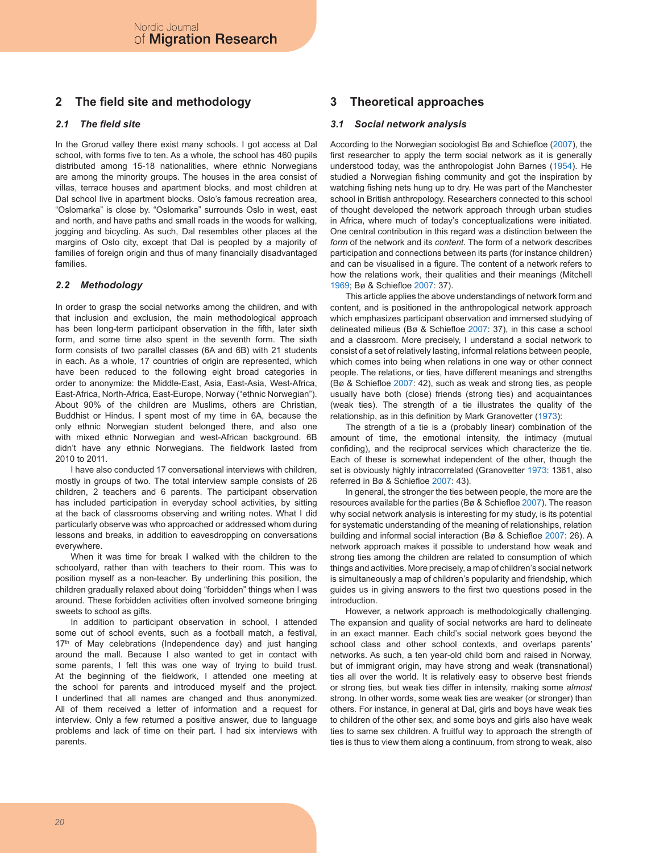# **2 The field site and methodology**

## *2.1 The field site*

In the Grorud valley there exist many schools. I got access at Dal school, with forms five to ten. As a whole, the school has 460 pupils distributed among 15-18 nationalities, where ethnic Norwegians are among the minority groups. The houses in the area consist of villas, terrace houses and apartment blocks, and most children at Dal school live in apartment blocks. Oslo's famous recreation area, "Oslomarka" is close by. "Oslomarka" surrounds Oslo in west, east and north, and have paths and small roads in the woods for walking, jogging and bicycling. As such, Dal resembles other places at the margins of Oslo city, except that Dal is peopled by a majority of families of foreign origin and thus of many financially disadvantaged families.

## *2.2 Methodology*

In order to grasp the social networks among the children, and with that inclusion and exclusion, the main methodological approach has been long-term participant observation in the fifth, later sixth form, and some time also spent in the seventh form. The sixth form consists of two parallel classes (6A and 6B) with 21 students in each. As a whole, 17 countries of origin are represented, which have been reduced to the following eight broad categories in order to anonymize: the Middle-East, Asia, East-Asia, West-Africa, East-Africa, North-Africa, East-Europe, Norway ("ethnic Norwegian"). About 90% of the children are Muslims, others are Christian, Buddhist or Hindus. I spent most of my time in 6A, because the only ethnic Norwegian student belonged there, and also one with mixed ethnic Norwegian and west-African background. 6B didn't have any ethnic Norwegians. The fieldwork lasted from 2010 to 2011.

I have also conducted 17 conversational interviews with children, mostly in groups of two. The total interview sample consists of 26 children, 2 teachers and 6 parents. The participant observation has included participation in everyday school activities, by sitting at the back of classrooms observing and writing notes. What I did particularly observe was who approached or addressed whom during lessons and breaks, in addition to eavesdropping on conversations everywhere.

When it was time for break I walked with the children to the schoolyard, rather than with teachers to their room. This was to position myself as a non-teacher. By underlining this position, the children gradually relaxed about doing "forbidden" things when I was around. These forbidden activities often involved someone bringing sweets to school as gifts.

In addition to participant observation in school, I attended some out of school events, such as a football match, a festival, 17<sup>th</sup> of May celebrations (Independence day) and just hanging around the mall. Because I also wanted to get in contact with some parents, I felt this was one way of trying to build trust. At the beginning of the fieldwork, I attended one meeting at the school for parents and introduced myself and the project. I underlined that all names are changed and thus anonymized. All of them received a letter of information and a request for interview. Only a few returned a positive answer, due to language problems and lack of time on their part. I had six interviews with parents.

# **3 Theoretical approaches**

## *3.1 Social network analysis*

According to the Norwegian sociologist Bø and Schiefloe (2007), the first researcher to apply the term social network as it is generally understood today, was the anthropologist John Barnes (1954). He studied a Norwegian fishing community and got the inspiration by watching fishing nets hung up to dry. He was part of the Manchester school in British anthropology. Researchers connected to this school of thought developed the network approach through urban studies in Africa, where much of today's conceptualizations were initiated. One central contribution in this regard was a distinction between the *form* of the network and its *content.* The form of a network describes participation and connections between its parts (for instance children) and can be visualised in a figure. The content of a network refers to how the relations work, their qualities and their meanings (Mitchell 1969; Bø & Schiefloe 2007: 37).

This article applies the above understandings of network form and content, and is positioned in the anthropological network approach which emphasizes participant observation and immersed studying of delineated milieus (Bø & Schiefloe 2007: 37), in this case a school and a classroom. More precisely, I understand a social network to consist of a set of relatively lasting, informal relations between people, which comes into being when relations in one way or other connect people. The relations, or ties, have different meanings and strengths (Bø & Schiefloe 2007: 42), such as weak and strong ties, as people usually have both (close) friends (strong ties) and acquaintances (weak ties). The strength of a tie illustrates the quality of the relationship, as in this definition by Mark Granovetter (1973):

The strength of a tie is a (probably linear) combination of the amount of time, the emotional intensity, the intimacy (mutual confiding), and the reciprocal services which characterize the tie. Each of these is somewhat independent of the other, though the set is obviously highly intracorrelated (Granovetter 1973: 1361, also referred in Bø & Schiefloe 2007: 43).

In general, the stronger the ties between people, the more are the resources available for the parties (Bø & Schiefloe 2007). The reason why social network analysis is interesting for my study, is its potential for systematic understanding of the meaning of relationships, relation building and informal social interaction (Bø & Schiefloe 2007: 26). A network approach makes it possible to understand how weak and strong ties among the children are related to consumption of which things and activities. More precisely, a map of children's social network is simultaneously a map of children's popularity and friendship, which guides us in giving answers to the first two questions posed in the introduction.

However, a network approach is methodologically challenging. The expansion and quality of social networks are hard to delineate in an exact manner. Each child's social network goes beyond the school class and other school contexts, and overlaps parents' networks. As such, a ten year-old child born and raised in Norway, but of immigrant origin, may have strong and weak (transnational) ties all over the world. It is relatively easy to observe best friends or strong ties, but weak ties differ in intensity, making some *almost* strong. In other words, some weak ties are weaker (or stronger) than others. For instance, in general at Dal, girls and boys have weak ties to children of the other sex, and some boys and girls also have weak ties to same sex children. A fruitful way to approach the strength of ties is thus to view them along a continuum, from strong to weak, also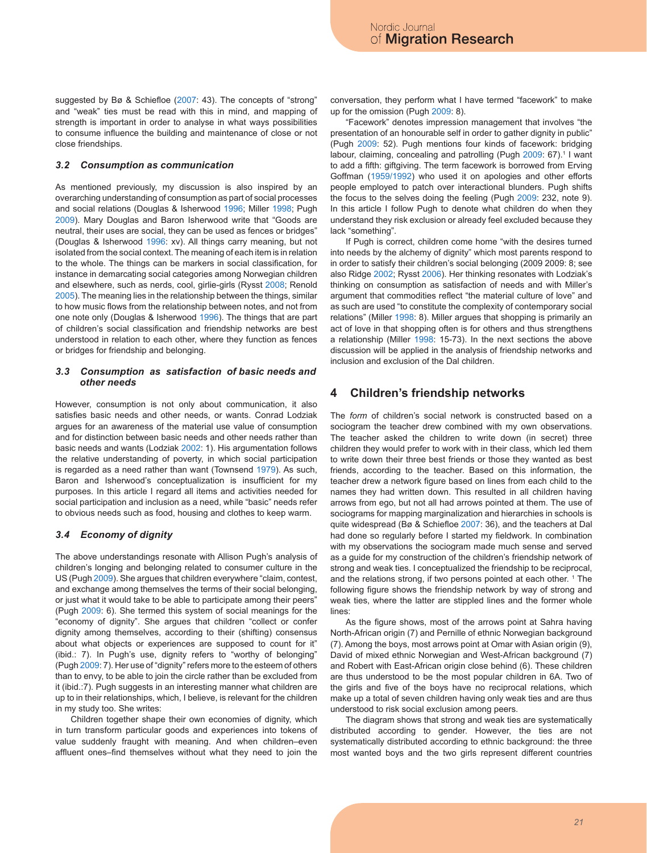suggested by Bø & Schiefloe (2007: 43). The concepts of "strong" and "weak" ties must be read with this in mind, and mapping of strength is important in order to analyse in what ways possibilities to consume influence the building and maintenance of close or not close friendships.

#### *3.2 Consumption as communication*

As mentioned previously, my discussion is also inspired by an overarching understanding of consumption as part of social processes and social relations (Douglas & Isherwood 1996; Miller 1998; Pugh 2009). Mary Douglas and Baron Isherwood write that "Goods are neutral, their uses are social, they can be used as fences or bridges" (Douglas & Isherwood 1996: xv). All things carry meaning, but not isolated from the social context. The meaning of each item is in relation to the whole. The things can be markers in social classification, for instance in demarcating social categories among Norwegian children and elsewhere, such as nerds, cool, girlie-girls (Rysst 2008; Renold 2005). The meaning lies in the relationship between the things, similar to how music flows from the relationship between notes, and not from one note only (Douglas & Isherwood 1996). The things that are part of children's social classification and friendship networks are best understood in relation to each other, where they function as fences or bridges for friendship and belonging.

#### *3.3 Consumption as satisfaction of basic needs and other needs*

However, consumption is not only about communication, it also satisfies basic needs and other needs, or wants. Conrad Lodziak argues for an awareness of the material use value of consumption and for distinction between basic needs and other needs rather than basic needs and wants (Lodziak 2002: 1). His argumentation follows the relative understanding of poverty, in which social participation is regarded as a need rather than want (Townsend 1979). As such, Baron and Isherwood's conceptualization is insufficient for my purposes. In this article I regard all items and activities needed for social participation and inclusion as a need, while "basic" needs refer to obvious needs such as food, housing and clothes to keep warm.

### *3.4 Economy of dignity*

The above understandings resonate with Allison Pugh's analysis of children's longing and belonging related to consumer culture in the US (Pugh 2009). She argues that children everywhere "claim, contest, and exchange among themselves the terms of their social belonging, or just what it would take to be able to participate among their peers" (Pugh 2009: 6). She termed this system of social meanings for the "economy of dignity". She argues that children "collect or confer dignity among themselves, according to their (shifting) consensus about what objects or experiences are supposed to count for it" (ibid.: 7). In Pugh's use, dignity refers to "worthy of belonging" (Pugh 2009: 7). Her use of "dignity" refers more to the esteem of others than to envy, to be able to join the circle rather than be excluded from it (ibid.:7). Pugh suggests in an interesting manner what children are up to in their relationships, which, I believe, is relevant for the children in my study too. She writes:

Children together shape their own economies of dignity, which in turn transform particular goods and experiences into tokens of value suddenly fraught with meaning. And when children–even affluent ones–find themselves without what they need to join the conversation, they perform what I have termed "facework" to make up for the omission (Pugh 2009: 8).

"Facework" denotes impression management that involves "the presentation of an honourable self in order to gather dignity in public" (Pugh 2009: 52). Pugh mentions four kinds of facework: bridging labour, claiming, concealing and patrolling (Pugh 2009: 67).<sup>1</sup> I want to add a fifth: giftgiving. The term facework is borrowed from Erving Goffman (1959/1992) who used it on apologies and other efforts people employed to patch over interactional blunders. Pugh shifts the focus to the selves doing the feeling (Pugh 2009: 232, note 9). In this article I follow Pugh to denote what children do when they understand they risk exclusion or already feel excluded because they lack "something".

If Pugh is correct, children come home "with the desires turned into needs by the alchemy of dignity" which most parents respond to in order to satisfy their children's social belonging (2009 2009: 8; see also Ridge 2002; Rysst 2006). Her thinking resonates with Lodziak's thinking on consumption as satisfaction of needs and with Miller's argument that commodities reflect "the material culture of love" and as such are used "to constitute the complexity of contemporary social relations" (Miller 1998: 8). Miller argues that shopping is primarily an act of love in that shopping often is for others and thus strengthens a relationship (Miller 1998: 15-73). In the next sections the above discussion will be applied in the analysis of friendship networks and inclusion and exclusion of the Dal children.

## **4 Children's friendship networks**

The *form* of children's social network is constructed based on a sociogram the teacher drew combined with my own observations. The teacher asked the children to write down (in secret) three children they would prefer to work with in their class, which led them to write down their three best friends or those they wanted as best friends, according to the teacher. Based on this information, the teacher drew a network figure based on lines from each child to the names they had written down. This resulted in all children having arrows from ego, but not all had arrows pointed at them. The use of sociograms for mapping marginalization and hierarchies in schools is quite widespread (Bø & Schiefloe 2007: 36), and the teachers at Dal had done so regularly before I started my fieldwork. In combination with my observations the sociogram made much sense and served as a guide for my construction of the children's friendship network of strong and weak ties. I conceptualized the friendship to be reciprocal, and the relations strong, if two persons pointed at each other. <sup>1</sup> The following figure shows the friendship network by way of strong and weak ties, where the latter are stippled lines and the former whole lines:

As the figure shows, most of the arrows point at Sahra having North-African origin (7) and Pernille of ethnic Norwegian background (7). Among the boys, most arrows point at Omar with Asian origin (9), David of mixed ethnic Norwegian and West-African background (7) and Robert with East-African origin close behind (6). These children are thus understood to be the most popular children in 6A. Two of the girls and five of the boys have no reciprocal relations, which make up a total of seven children having only weak ties and are thus understood to risk social exclusion among peers.

The diagram shows that strong and weak ties are systematically distributed according to gender. However, the ties are not systematically distributed according to ethnic background: the three most wanted boys and the two girls represent different countries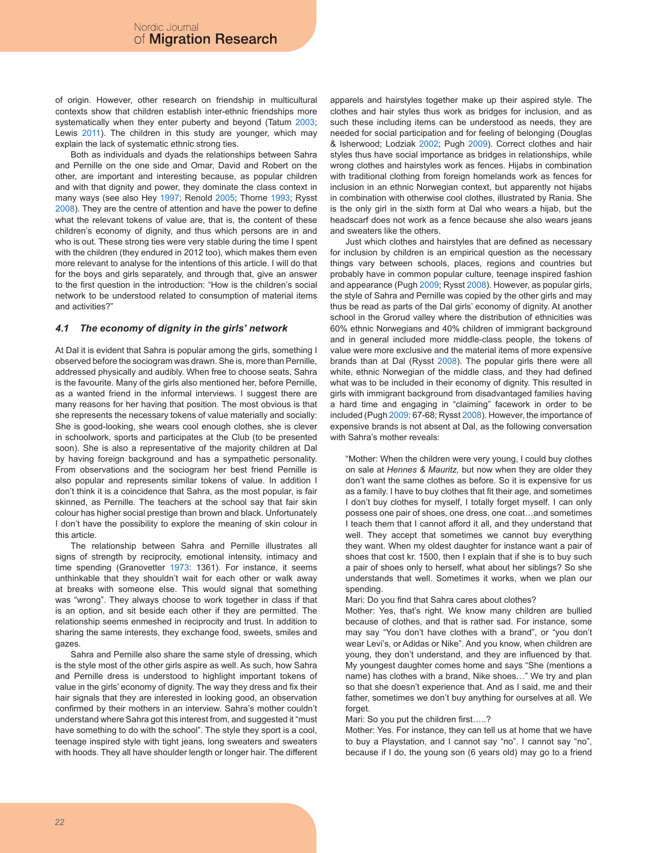of origin. However, other research on friendship in multicultural contexts show that children establish inter-ethnic friendships more systematically when they enter puberty and beyond (Tatum 2003; Lewis 2011). The children in this study are younger, which may explain the lack of systematic ethnic strong ties.

Both as individuals and dyads the relationships between Sahra and Pernille on the one side and Omar, David and Robert on the other, are important and interesting because, as popular children and with that dignity and power, they dominate the class context in many ways (see also Hey 1997; Renold 2005; Thorne 1993; Rysst 2008). They are the centre of attention and have the power to define what the relevant tokens of value are, that is, the content of these children's economy of dignity, and thus which persons are in and who is out. These strong ties were very stable during the time I spent with the children (they endured in 2012 too), which makes them even more relevant to analyse for the intentions of this article. I will do that for the boys and girls separately, and through that, give an answer to the first question in the introduction: "How is the children's social network to be understood related to consumption of material items and activities?"

### *4.1 The economy of dignity in the girls' network*

At Dal it is evident that Sahra is popular among the girls, something I observed before the sociogram was drawn. She is, more than Pernille, addressed physically and audibly. When free to choose seats, Sahra is the favourite. Many of the girls also mentioned her, before Pernille, as a wanted friend in the informal interviews. I suggest there are many reasons for her having that position. The most obvious is that she represents the necessary tokens of value materially and socially: She is good-looking, she wears cool enough clothes, she is clever in schoolwork, sports and participates at the Club (to be presented soon). She is also a representative of the majority children at Dal by having foreign background and has a sympathetic personality. From observations and the sociogram her best friend Pernille is also popular and represents similar tokens of value. In addition I don't think it is a coincidence that Sahra, as the most popular, is fair skinned, as Pernille. The teachers at the school say that fair skin colour has higher social prestige than brown and black. Unfortunately I don't have the possibility to explore the meaning of skin colour in this article.

The relationship between Sahra and Pernille illustrates all signs of strength by reciprocity, emotional intensity, intimacy and time spending (Granovetter 1973: 1361). For instance, it seems unthinkable that they shouldn't wait for each other or walk away at breaks with someone else. This would signal that something was "wrong". They always choose to work together in class if that is an option, and sit beside each other if they are permitted. The relationship seems enmeshed in reciprocity and trust. In addition to sharing the same interests, they exchange food, sweets, smiles and gazes.

Sahra and Pernille also share the same style of dressing, which is the style most of the other girls aspire as well. As such, how Sahra and Pernille dress is understood to highlight important tokens of value in the girls' economy of dignity. The way they dress and fix their hair signals that they are interested in looking good, an observation confirmed by their mothers in an interview. Sahra's mother couldn't understand where Sahra got this interest from, and suggested it "must have something to do with the school". The style they sport is a cool, teenage inspired style with tight jeans, long sweaters and sweaters with hoods. They all have shoulder length or longer hair. The different apparels and hairstyles together make up their aspired style. The clothes and hair styles thus work as bridges for inclusion, and as such these including items can be understood as needs, they are needed for social participation and for feeling of belonging (Douglas & Isherwood; Lodziak 2002; Pugh 2009). Correct clothes and hair styles thus have social importance as bridges in relationships, while wrong clothes and hairstyles work as fences. Hijabs in combination with traditional clothing from foreign homelands work as fences for inclusion in an ethnic Norwegian context, but apparently not hijabs in combination with otherwise cool clothes, illustrated by Rania. She is the only girl in the sixth form at Dal who wears a hijab, but the headscarf does not work as a fence because she also wears jeans and sweaters like the others.

Just which clothes and hairstyles that are defined as necessary for inclusion by children is an empirical question as the necessary things vary between schools, places, regions and countries but probably have in common popular culture, teenage inspired fashion and appearance (Pugh 2009; Rysst 2008). However, as popular girls, the style of Sahra and Pernille was copied by the other girls and may thus be read as parts of the Dal girls' economy of dignity. At another school in the Grorud valley where the distribution of ethnicities was 60% ethnic Norwegians and 40% children of immigrant background and in general included more middle-class people, the tokens of value were more exclusive and the material items of more expensive brands than at Dal (Rysst 2008). The popular girls there were all white, ethnic Norwegian of the middle class, and they had defined what was to be included in their economy of dignity. This resulted in girls with immigrant background from disadvantaged families having a hard time and engaging in "claiming" facework in order to be included (Pugh 2009: 67-68; Rysst 2008). However, the importance of expensive brands is not absent at Dal, as the following conversation with Sahra's mother reveals:

"Mother: When the children were very young, I could buy clothes on sale at *Hennes & Mauritz,* but now when they are older they don't want the same clothes as before. So it is expensive for us as a family. I have to buy clothes that fit their age, and sometimes I don't buy clothes for myself, I totally forget myself. I can only possess one pair of shoes, one dress, one coat…and sometimes I teach them that I cannot afford it all, and they understand that well. They accept that sometimes we cannot buy everything they want. When my oldest daughter for instance want a pair of shoes that cost kr. 1500, then I explain that if she is to buy such a pair of shoes only to herself, what about her siblings? So she understands that well. Sometimes it works, when we plan our spending

#### Mari: Do you find that Sahra cares about clothes?

Mother: Yes, that's right. We know many children are bullied because of clothes, and that is rather sad. For instance, some may say "You don't have clothes with a brand", or "you don't wear Levi's, or Adidas or Nike". And you know, when children are young, they don't understand, and they are influenced by that. My youngest daughter comes home and says "She (mentions a name) has clothes with a brand, Nike shoes…" We try and plan so that she doesn't experience that. And as I said, me and their father, sometimes we don't buy anything for ourselves at all. We forget.

Mari: So you put the children first…..?

Mother: Yes. For instance, they can tell us at home that we have to buy a Playstation, and I cannot say "no". I cannot say "no", because if I do, the young son (6 years old) may go to a friend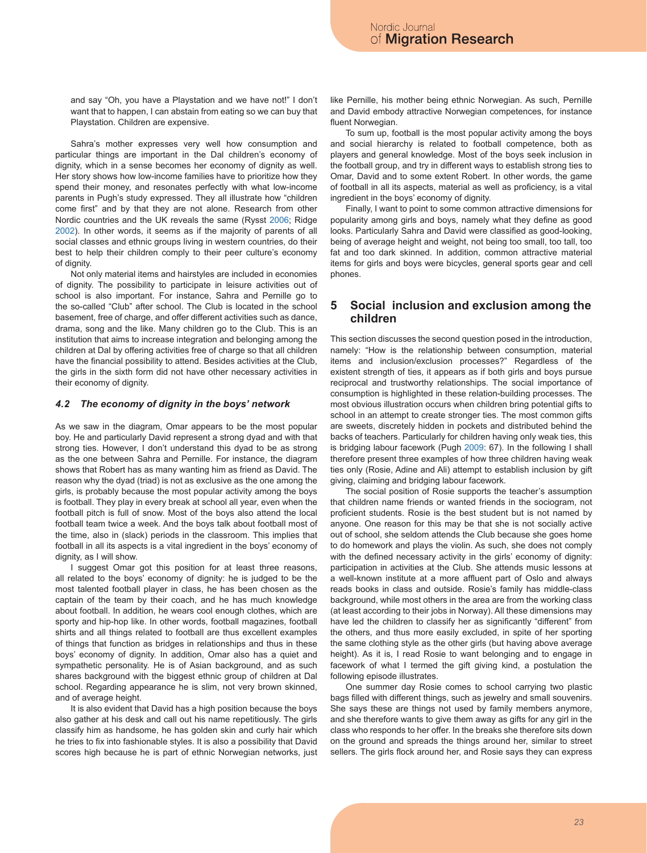and say "Oh, you have a Playstation and we have not!" I don't want that to happen, I can abstain from eating so we can buy that Playstation. Children are expensive.

Sahra's mother expresses very well how consumption and particular things are important in the Dal children's economy of dignity, which in a sense becomes her economy of dignity as well. Her story shows how low-income families have to prioritize how they spend their money, and resonates perfectly with what low-income parents in Pugh's study expressed. They all illustrate how "children come first" and by that they are not alone. Research from other Nordic countries and the UK reveals the same (Rysst 2006; Ridge 2002). In other words, it seems as if the majority of parents of all social classes and ethnic groups living in western countries, do their best to help their children comply to their peer culture's economy of dignity.

Not only material items and hairstyles are included in economies of dignity. The possibility to participate in leisure activities out of school is also important. For instance, Sahra and Pernille go to the so-called "Club" after school. The Club is located in the school basement, free of charge, and offer different activities such as dance, drama, song and the like. Many children go to the Club. This is an institution that aims to increase integration and belonging among the children at Dal by offering activities free of charge so that all children have the financial possibility to attend. Besides activities at the Club, the girls in the sixth form did not have other necessary activities in their economy of dignity.

#### *4.2 The economy of dignity in the boys' network*

As we saw in the diagram, Omar appears to be the most popular boy. He and particularly David represent a strong dyad and with that strong ties. However, I don't understand this dyad to be as strong as the one between Sahra and Pernille. For instance, the diagram shows that Robert has as many wanting him as friend as David. The reason why the dyad (triad) is not as exclusive as the one among the girls, is probably because the most popular activity among the boys is football. They play in every break at school all year, even when the football pitch is full of snow. Most of the boys also attend the local football team twice a week. And the boys talk about football most of the time, also in (slack) periods in the classroom. This implies that football in all its aspects is a vital ingredient in the boys' economy of dignity, as I will show.

I suggest Omar got this position for at least three reasons, all related to the boys' economy of dignity: he is judged to be the most talented football player in class, he has been chosen as the captain of the team by their coach, and he has much knowledge about football. In addition, he wears cool enough clothes, which are sporty and hip-hop like. In other words, football magazines, football shirts and all things related to football are thus excellent examples of things that function as bridges in relationships and thus in these boys' economy of dignity. In addition, Omar also has a quiet and sympathetic personality. He is of Asian background, and as such shares background with the biggest ethnic group of children at Dal school. Regarding appearance he is slim, not very brown skinned, and of average height.

It is also evident that David has a high position because the boys also gather at his desk and call out his name repetitiously. The girls classify him as handsome, he has golden skin and curly hair which he tries to fix into fashionable styles. It is also a possibility that David scores high because he is part of ethnic Norwegian networks, just like Pernille, his mother being ethnic Norwegian. As such, Pernille and David embody attractive Norwegian competences, for instance fluent Norwegian.

To sum up, football is the most popular activity among the boys and social hierarchy is related to football competence, both as players and general knowledge. Most of the boys seek inclusion in the football group, and try in different ways to establish strong ties to Omar, David and to some extent Robert. In other words, the game of football in all its aspects, material as well as proficiency, is a vital ingredient in the boys' economy of dignity.

Finally, I want to point to some common attractive dimensions for popularity among girls and boys, namely what they define as good looks. Particularly Sahra and David were classified as good-looking, being of average height and weight, not being too small, too tall, too fat and too dark skinned. In addition, common attractive material items for girls and boys were bicycles, general sports gear and cell phones.

## **5 Social inclusion and exclusion among the children**

This section discusses the second question posed in the introduction, namely: "How is the relationship between consumption, material items and inclusion/exclusion processes?" Regardless of the existent strength of ties, it appears as if both girls and boys pursue reciprocal and trustworthy relationships. The social importance of consumption is highlighted in these relation-building processes. The most obvious illustration occurs when children bring potential gifts to school in an attempt to create stronger ties. The most common gifts are sweets, discretely hidden in pockets and distributed behind the backs of teachers. Particularly for children having only weak ties, this is bridging labour facework (Pugh 2009: 67). In the following I shall therefore present three examples of how three children having weak ties only (Rosie, Adine and Ali) attempt to establish inclusion by gift giving, claiming and bridging labour facework.

The social position of Rosie supports the teacher's assumption that children name friends or wanted friends in the sociogram, not proficient students. Rosie is the best student but is not named by anyone. One reason for this may be that she is not socially active out of school, she seldom attends the Club because she goes home to do homework and plays the violin. As such, she does not comply with the defined necessary activity in the girls' economy of dignity: participation in activities at the Club. She attends music lessons at a well-known institute at a more affluent part of Oslo and always reads books in class and outside. Rosie's family has middle-class background, while most others in the area are from the working class (at least according to their jobs in Norway). All these dimensions may have led the children to classify her as significantly "different" from the others, and thus more easily excluded, in spite of her sporting the same clothing style as the other girls (but having above average height). As it is, I read Rosie to want belonging and to engage in facework of what I termed the gift giving kind, a postulation the following episode illustrates.

One summer day Rosie comes to school carrying two plastic bags filled with different things, such as jewelry and small souvenirs. She says these are things not used by family members anymore, and she therefore wants to give them away as gifts for any girl in the class who responds to her offer. In the breaks she therefore sits down on the ground and spreads the things around her, similar to street sellers. The girls flock around her, and Rosie says they can express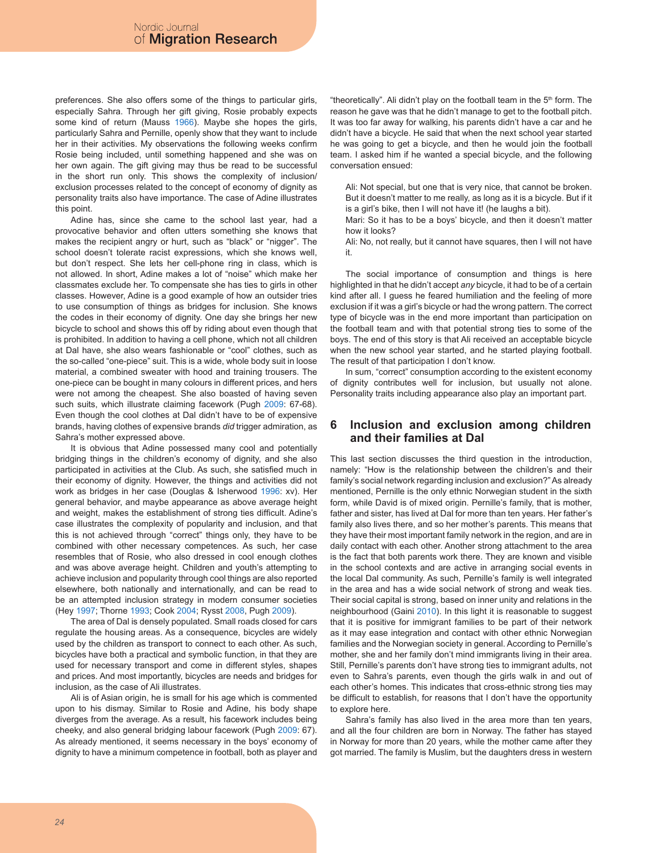preferences. She also offers some of the things to particular girls, especially Sahra. Through her gift giving, Rosie probably expects some kind of return (Mauss 1966). Maybe she hopes the girls, particularly Sahra and Pernille, openly show that they want to include her in their activities. My observations the following weeks confirm Rosie being included, until something happened and she was on her own again. The gift giving may thus be read to be successful in the short run only. This shows the complexity of inclusion/ exclusion processes related to the concept of economy of dignity as personality traits also have importance. The case of Adine illustrates this point.

Adine has, since she came to the school last year, had a provocative behavior and often utters something she knows that makes the recipient angry or hurt, such as "black" or "nigger". The school doesn't tolerate racist expressions, which she knows well, but don't respect. She lets her cell-phone ring in class, which is not allowed. In short, Adine makes a lot of "noise" which make her classmates exclude her. To compensate she has ties to girls in other classes. However, Adine is a good example of how an outsider tries to use consumption of things as bridges for inclusion. She knows the codes in their economy of dignity. One day she brings her new bicycle to school and shows this off by riding about even though that is prohibited. In addition to having a cell phone, which not all children at Dal have, she also wears fashionable or "cool" clothes, such as the so-called "one-piece" suit. This is a wide, whole body suit in loose material, a combined sweater with hood and training trousers. The one-piece can be bought in many colours in different prices, and hers were not among the cheapest. She also boasted of having seven such suits, which illustrate claiming facework (Pugh 2009: 67-68). Even though the cool clothes at Dal didn't have to be of expensive brands, having clothes of expensive brands *did* trigger admiration, as Sahra's mother expressed above.

It is obvious that Adine possessed many cool and potentially bridging things in the children's economy of dignity, and she also participated in activities at the Club. As such, she satisfied much in their economy of dignity. However, the things and activities did not work as bridges in her case (Douglas & Isherwood 1996: xv). Her general behavior, and maybe appearance as above average height and weight, makes the establishment of strong ties difficult. Adine's case illustrates the complexity of popularity and inclusion, and that this is not achieved through "correct" things only, they have to be combined with other necessary competences. As such, her case resembles that of Rosie, who also dressed in cool enough clothes and was above average height. Children and youth's attempting to achieve inclusion and popularity through cool things are also reported elsewhere, both nationally and internationally, and can be read to be an attempted inclusion strategy in modern consumer societies (Hey 1997; Thorne 1993; Cook 2004; Rysst 2008, Pugh 2009).

The area of Dal is densely populated. Small roads closed for cars regulate the housing areas. As a consequence, bicycles are widely used by the children as transport to connect to each other. As such, bicycles have both a practical and symbolic function, in that they are used for necessary transport and come in different styles, shapes and prices. And most importantly, bicycles are needs and bridges for inclusion, as the case of Ali illustrates.

Ali is of Asian origin, he is small for his age which is commented upon to his dismay. Similar to Rosie and Adine, his body shape diverges from the average. As a result, his facework includes being cheeky, and also general bridging labour facework (Pugh 2009: 67). As already mentioned, it seems necessary in the boys' economy of dignity to have a minimum competence in football, both as player and "theoretically". Ali didn't play on the football team in the 5<sup>th</sup> form. The reason he gave was that he didn't manage to get to the football pitch. It was too far away for walking, his parents didn't have a car and he didn't have a bicycle. He said that when the next school year started he was going to get a bicycle, and then he would join the football team. I asked him if he wanted a special bicycle, and the following conversation ensued:

Ali: Not special, but one that is very nice, that cannot be broken. But it doesn't matter to me really, as long as it is a bicycle. But if it is a girl's bike, then I will not have it! (he laughs a bit).

Mari: So it has to be a boys' bicycle, and then it doesn't matter how it looks?

Ali: No, not really, but it cannot have squares, then I will not have it.

The social importance of consumption and things is here highlighted in that he didn't accept *any* bicycle, it had to be of a certain kind after all. I guess he feared humiliation and the feeling of more exclusion if it was a girl's bicycle or had the wrong pattern. The correct type of bicycle was in the end more important than participation on the football team and with that potential strong ties to some of the boys. The end of this story is that Ali received an acceptable bicycle when the new school year started, and he started playing football. The result of that participation I don't know.

In sum, "correct" consumption according to the existent economy of dignity contributes well for inclusion, but usually not alone. Personality traits including appearance also play an important part.

## **6 Inclusion and exclusion among children and their families at Dal**

This last section discusses the third question in the introduction, namely: "How is the relationship between the children's and their family's social network regarding inclusion and exclusion?" As already mentioned, Pernille is the only ethnic Norwegian student in the sixth form, while David is of mixed origin. Pernille's family, that is mother, father and sister, has lived at Dal for more than ten years. Her father's family also lives there, and so her mother's parents. This means that they have their most important family network in the region, and are in daily contact with each other. Another strong attachment to the area is the fact that both parents work there. They are known and visible in the school contexts and are active in arranging social events in the local Dal community. As such, Pernille's family is well integrated in the area and has a wide social network of strong and weak ties. Their social capital is strong, based on inner unity and relations in the neighbourhood (Gaini 2010). In this light it is reasonable to suggest that it is positive for immigrant families to be part of their network as it may ease integration and contact with other ethnic Norwegian families and the Norwegian society in general. According to Pernille's mother, she and her family don't mind immigrants living in their area. Still, Pernille's parents don't have strong ties to immigrant adults, not even to Sahra's parents, even though the girls walk in and out of each other's homes. This indicates that cross-ethnic strong ties may be difficult to establish, for reasons that I don't have the opportunity to explore here.

Sahra's family has also lived in the area more than ten years, and all the four children are born in Norway. The father has stayed in Norway for more than 20 years, while the mother came after they got married. The family is Muslim, but the daughters dress in western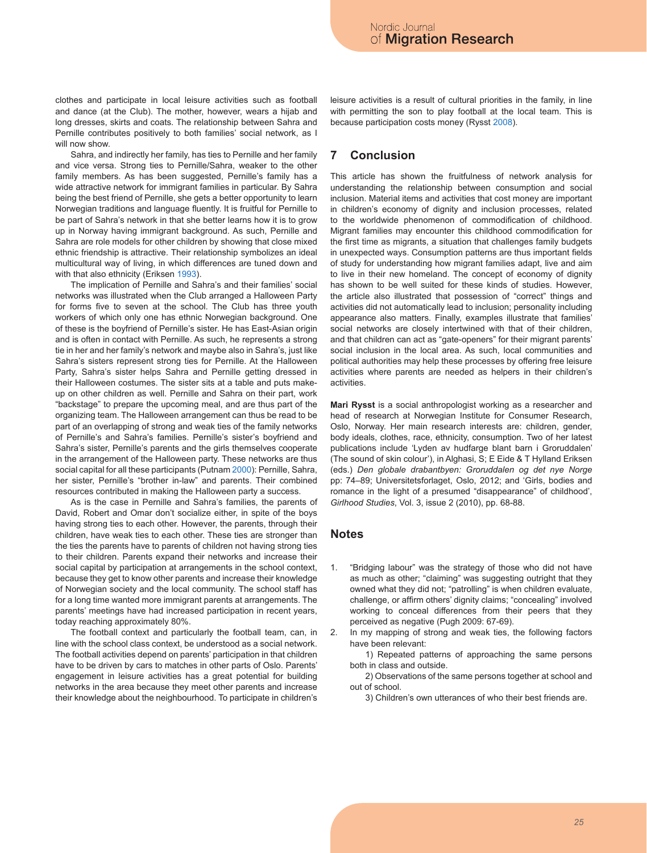clothes and participate in local leisure activities such as football and dance (at the Club). The mother, however, wears a hijab and long dresses, skirts and coats. The relationship between Sahra and Pernille contributes positively to both families' social network, as I will now show

Sahra, and indirectly her family, has ties to Pernille and her family and vice versa. Strong ties to Pernille/Sahra, weaker to the other family members. As has been suggested, Pernille's family has a wide attractive network for immigrant families in particular. By Sahra being the best friend of Pernille, she gets a better opportunity to learn Norwegian traditions and language fluently. It is fruitful for Pernille to be part of Sahra's network in that she better learns how it is to grow up in Norway having immigrant background. As such, Pernille and Sahra are role models for other children by showing that close mixed ethnic friendship is attractive. Their relationship symbolizes an ideal multicultural way of living, in which differences are tuned down and with that also ethnicity (Eriksen 1993).

The implication of Pernille and Sahra's and their families' social networks was illustrated when the Club arranged a Halloween Party for forms five to seven at the school. The Club has three youth workers of which only one has ethnic Norwegian background. One of these is the boyfriend of Pernille's sister. He has East-Asian origin and is often in contact with Pernille. As such, he represents a strong tie in her and her family's network and maybe also in Sahra's, just like Sahra's sisters represent strong ties for Pernille. At the Halloween Party, Sahra's sister helps Sahra and Pernille getting dressed in their Halloween costumes. The sister sits at a table and puts makeup on other children as well. Pernille and Sahra on their part, work "backstage" to prepare the upcoming meal, and are thus part of the organizing team. The Halloween arrangement can thus be read to be part of an overlapping of strong and weak ties of the family networks of Pernille's and Sahra's families. Pernille's sister's boyfriend and Sahra's sister, Pernille's parents and the girls themselves cooperate in the arrangement of the Halloween party. These networks are thus social capital for all these participants (Putnam 2000): Pernille, Sahra, her sister, Pernille's "brother in-law" and parents. Their combined resources contributed in making the Halloween party a success.

As is the case in Pernille and Sahra's families, the parents of David, Robert and Omar don't socialize either, in spite of the boys having strong ties to each other. However, the parents, through their children, have weak ties to each other. These ties are stronger than the ties the parents have to parents of children not having strong ties to their children. Parents expand their networks and increase their social capital by participation at arrangements in the school context, because they get to know other parents and increase their knowledge of Norwegian society and the local community. The school staff has for a long time wanted more immigrant parents at arrangements. The parents' meetings have had increased participation in recent years, today reaching approximately 80%.

The football context and particularly the football team, can, in line with the school class context, be understood as a social network. The football activities depend on parents' participation in that children have to be driven by cars to matches in other parts of Oslo. Parents' engagement in leisure activities has a great potential for building networks in the area because they meet other parents and increase their knowledge about the neighbourhood. To participate in children's

leisure activities is a result of cultural priorities in the family, in line with permitting the son to play football at the local team. This is because participation costs money (Rysst 2008).

# **7 Conclusion**

This article has shown the fruitfulness of network analysis for understanding the relationship between consumption and social inclusion. Material items and activities that cost money are important in children's economy of dignity and inclusion processes, related to the worldwide phenomenon of commodification of childhood. Migrant families may encounter this childhood commodification for the first time as migrants, a situation that challenges family budgets in unexpected ways. Consumption patterns are thus important fields of study for understanding how migrant families adapt, live and aim to live in their new homeland. The concept of economy of dignity has shown to be well suited for these kinds of studies. However, the article also illustrated that possession of "correct" things and activities did not automatically lead to inclusion; personality including appearance also matters. Finally, examples illustrate that families' social networks are closely intertwined with that of their children, and that children can act as "gate-openers" for their migrant parents' social inclusion in the local area. As such, local communities and political authorities may help these processes by offering free leisure activities where parents are needed as helpers in their children's activities.

**Mari Rysst** is a social anthropologist working as a researcher and head of research at Norwegian Institute for Consumer Research, Oslo, Norway. Her main research interests are: children, gender, body ideals, clothes, race, ethnicity, consumption. Two of her latest publications include 'Lyden av hudfarge blant barn i Groruddalen' (The sound of skin colour'), in Alghasi, S; E Eide & T Hylland Eriksen (eds.) *Den globale drabantbyen: Groruddalen og det nye Norge* pp: 74–89; Universitetsforlaget, Oslo, 2012; and 'Girls, bodies and romance in the light of a presumed "disappearance" of childhood', *Girlhood Studies*, Vol. 3, issue 2 (2010), pp. 68-88.

## **Notes**

- "Bridging labour" was the strategy of those who did not have as much as other; "claiming" was suggesting outright that they owned what they did not; "patrolling" is when children evaluate, challenge, or affirm others' dignity claims; "concealing" involved working to conceal differences from their peers that they perceived as negative (Pugh 2009: 67-69). 1.
- In my mapping of strong and weak ties, the following factors have been relevant: 2.

1) Repeated patterns of approaching the same persons both in class and outside.

2) Observations of the same persons together at school and out of school.

3) Children's own utterances of who their best friends are.